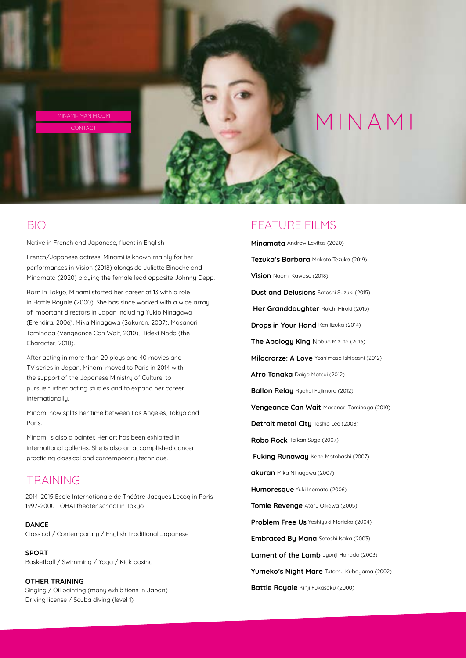

### BIO

Native in French and Japanese, fluent in English

French/Japanese actress, Minami is known mainly for her performances in Vision (2018) alongside Juliette Binoche and Minamata (2020) playing the female lead opposite Johnny Depp.

Born in Tokyo, Minami started her career at 13 with a role in Battle Royale (2000). She has since worked with a wide array of important directors in Japan including Yukio Ninagawa (Erendira, 2006), Mika Ninagawa (Sakuran, 2007), Masanori Tominaga (Vengeance Can Wait, 2010), Hideki Noda (the Character, 2010).

After acting in more than 20 plays and 40 movies and TV series in Japan, Minami moved to Paris in 2014 with the support of the Japanese Ministry of Culture, to pursue further acting studies and to expand her career internationally.

Minami now splits her time between Los Angeles, Tokyo and Paris.

Minami is also a painter. Her art has been exhibited in international galleries. She is also an accomplished dancer, practicing classical and contemporary technique.

### TRAINING

2014-2015 Ecole Internationale de Théâtre Jacques Lecoq in Paris 1997-2000 TOHAI theater schooI in Tokyo

**DANCE** Classical / Contemporary / English Traditional Japanese

**SPORT** Basketball / Swimming / Yoga / Kick boxing

**OTHER TRAINING** Singing / Oil painting (many exhibitions in Japan) Driving license / Scuba diving (level 1)

#### FEATURE FILMS

**Minamata** Andrew Levitas (2020) **Tezuka's Barbara** Makoto Tezuka (2019) **Vision** Naomi Kawase (2018) **Dust and Delusions** Satoshi Suzuki (2015)  **Her Granddaughter** Ruichi Hiroki (2015) **Drops in Your Hand** Ken lizuka (2014) **The Apology King** Nobuo Mizuta (2013) **Milocrorze: A Love** Yoshimasa Ishibashi (2012) **Afro Tanaka** Daigo Matsui (2012) **Ballon Relay** Ryohei Fujimura (2012) **Vengeance Can Wait** Masanori Tominaga (2010) **Detroit metal City** Toshio Lee (2008) **Robo Rock** Taikan Suga (2007)  **Fuking Runaway** Keita Motohashi (2007) **akuran** Mika Ninagawa (2007) **Humoresque** Yuki Inomata (2006) **Tomie Revenge** Ataru Oikawa (2005) **Problem Free Us** Yoshiyuki Morioka (2004) **Embraced By Mana** Satoshi Isaka (2003) **Lament of the Lamb** Jyunji Hanado (2003) **Yumeko's Night Mare** Tutomu Kuboyama (2002) **Battle Royale** Kinji Fukasaku (2000)